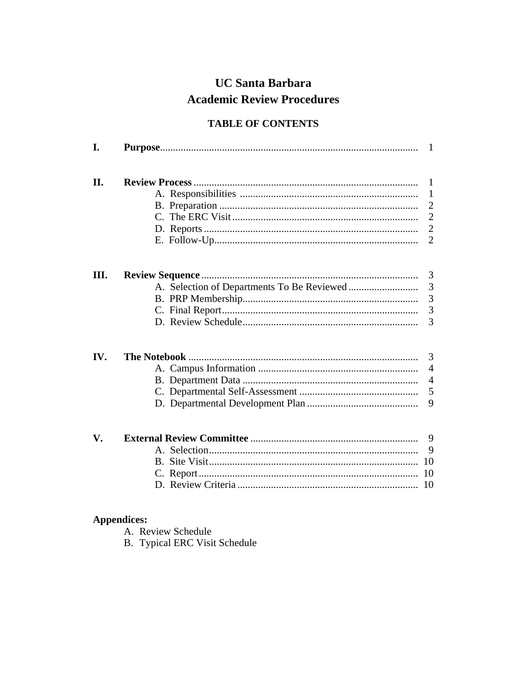# **UC Santa Barbara Academic Review Procedures**

# **TABLE OF CONTENTS**

| I.  |  | 1                                  |  |  |  |
|-----|--|------------------------------------|--|--|--|
| II. |  |                                    |  |  |  |
| Ш.  |  | 3<br>3<br>3<br>$\overline{3}$<br>3 |  |  |  |
| IV. |  | 3<br>4<br>$\overline{4}$<br>5<br>9 |  |  |  |
| V.  |  | 9<br>9<br>10<br>10<br>10           |  |  |  |

# **Appendices:**

- A. Review Schedule
- **B.** Typical ERC Visit Schedule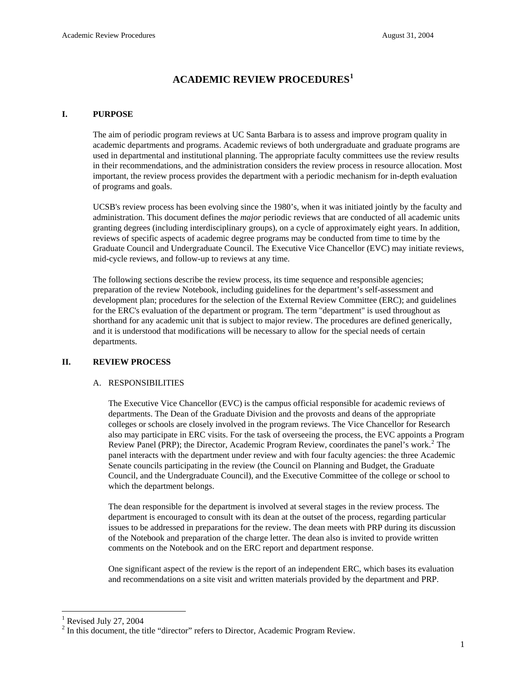# **ACADEMIC REVIEW PROCEDURES[1](#page-1-0)**

#### **I. PURPOSE**

The aim of periodic program reviews at UC Santa Barbara is to assess and improve program quality in academic departments and programs. Academic reviews of both undergraduate and graduate programs are used in departmental and institutional planning. The appropriate faculty committees use the review results in their recommendations, and the administration considers the review process in resource allocation. Most important, the review process provides the department with a periodic mechanism for in-depth evaluation of programs and goals.

UCSB's review process has been evolving since the 1980's, when it was initiated jointly by the faculty and administration. This document defines the *major* periodic reviews that are conducted of all academic units granting degrees (including interdisciplinary groups), on a cycle of approximately eight years. In addition, reviews of specific aspects of academic degree programs may be conducted from time to time by the Graduate Council and Undergraduate Council. The Executive Vice Chancellor (EVC) may initiate reviews, mid-cycle reviews, and follow-up to reviews at any time.

 The following sections describe the review process, its time sequence and responsible agencies; preparation of the review Notebook, including guidelines for the department's self-assessment and development plan; procedures for the selection of the External Review Committee (ERC); and guidelines for the ERC's evaluation of the department or program. The term "department" is used throughout as shorthand for any academic unit that is subject to major review. The procedures are defined generically, and it is understood that modifications will be necessary to allow for the special needs of certain departments.

#### **II. REVIEW PROCESS**

#### A. RESPONSIBILITIES

 The Executive Vice Chancellor (EVC) is the campus official responsible for academic reviews of departments. The Dean of the Graduate Division and the provosts and deans of the appropriate colleges or schools are closely involved in the program reviews. The Vice Chancellor for Research also may participate in ERC visits. For the task of overseeing the process, the EVC appoints a Program Review Panel (PRP); the Director, Academic Program Review, coordinates the panel's work.<sup>[2](#page-1-1)</sup> The panel interacts with the department under review and with four faculty agencies: the three Academic Senate councils participating in the review (the Council on Planning and Budget, the Graduate Council, and the Undergraduate Council), and the Executive Committee of the college or school to which the department belongs.

 The dean responsible for the department is involved at several stages in the review process. The department is encouraged to consult with its dean at the outset of the process, regarding particular issues to be addressed in preparations for the review. The dean meets with PRP during its discussion of the Notebook and preparation of the charge letter. The dean also is invited to provide written comments on the Notebook and on the ERC report and department response.

 One significant aspect of the review is the report of an independent ERC, which bases its evaluation and recommendations on a site visit and written materials provided by the department and PRP.

 $\overline{a}$ 

<span id="page-1-0"></span> $<sup>1</sup>$  Revised July 27, 2004</sup>

<span id="page-1-1"></span> $2$  In this document, the title "director" refers to Director, Academic Program Review.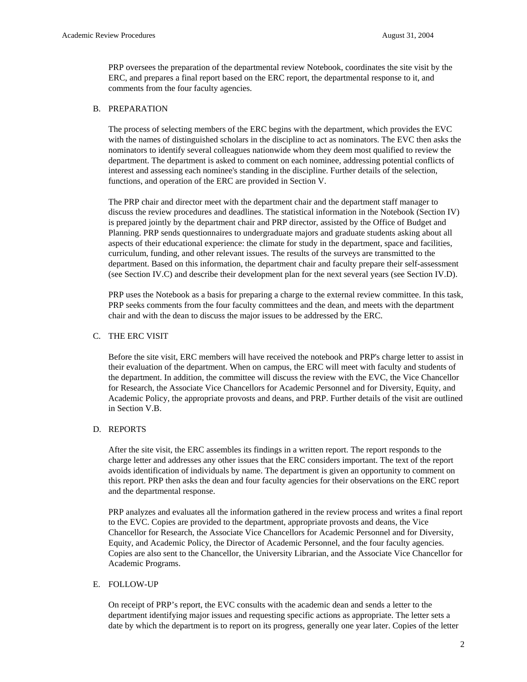PRP oversees the preparation of the departmental review Notebook, coordinates the site visit by the ERC, and prepares a final report based on the ERC report, the departmental response to it, and comments from the four faculty agencies.

#### B. PREPARATION

 The process of selecting members of the ERC begins with the department, which provides the EVC with the names of distinguished scholars in the discipline to act as nominators. The EVC then asks the nominators to identify several colleagues nationwide whom they deem most qualified to review the department. The department is asked to comment on each nominee, addressing potential conflicts of interest and assessing each nominee's standing in the discipline. Further details of the selection, functions, and operation of the ERC are provided in Section V.

 The PRP chair and director meet with the department chair and the department staff manager to discuss the review procedures and deadlines. The statistical information in the Notebook (Section IV) is prepared jointly by the department chair and PRP director, assisted by the Office of Budget and Planning. PRP sends questionnaires to undergraduate majors and graduate students asking about all aspects of their educational experience: the climate for study in the department, space and facilities, curriculum, funding, and other relevant issues. The results of the surveys are transmitted to the department. Based on this information, the department chair and faculty prepare their self-assessment (see Section IV.C) and describe their development plan for the next several years (see Section IV.D).

 PRP uses the Notebook as a basis for preparing a charge to the external review committee. In this task, PRP seeks comments from the four faculty committees and the dean, and meets with the department chair and with the dean to discuss the major issues to be addressed by the ERC.

### C. THE ERC VISIT

Before the site visit, ERC members will have received the notebook and PRP's charge letter to assist in their evaluation of the department. When on campus, the ERC will meet with faculty and students of the department. In addition, the committee will discuss the review with the EVC, the Vice Chancellor for Research, the Associate Vice Chancellors for Academic Personnel and for Diversity, Equity, and Academic Policy, the appropriate provosts and deans, and PRP. Further details of the visit are outlined in Section V.B.

#### D. REPORTS

 After the site visit, the ERC assembles its findings in a written report. The report responds to the charge letter and addresses any other issues that the ERC considers important. The text of the report avoids identification of individuals by name. The department is given an opportunity to comment on this report. PRP then asks the dean and four faculty agencies for their observations on the ERC report and the departmental response.

 PRP analyzes and evaluates all the information gathered in the review process and writes a final report to the EVC. Copies are provided to the department, appropriate provosts and deans, the Vice Chancellor for Research, the Associate Vice Chancellors for Academic Personnel and for Diversity, Equity, and Academic Policy, the Director of Academic Personnel, and the four faculty agencies. Copies are also sent to the Chancellor, the University Librarian, and the Associate Vice Chancellor for Academic Programs.

#### E. FOLLOW-UP

 On receipt of PRP's report, the EVC consults with the academic dean and sends a letter to the department identifying major issues and requesting specific actions as appropriate. The letter sets a date by which the department is to report on its progress, generally one year later. Copies of the letter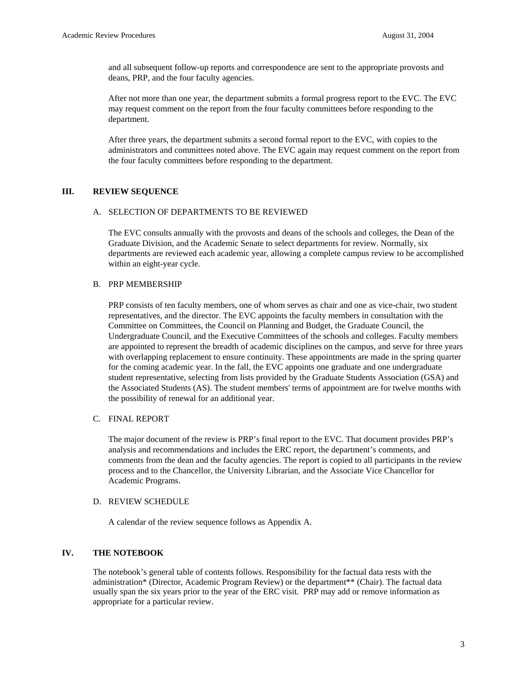and all subsequent follow-up reports and correspondence are sent to the appropriate provosts and deans, PRP, and the four faculty agencies.

After not more than one year, the department submits a formal progress report to the EVC. The EVC may request comment on the report from the four faculty committees before responding to the department.

After three years, the department submits a second formal report to the EVC, with copies to the administrators and committees noted above. The EVC again may request comment on the report from the four faculty committees before responding to the department.

### **III. REVIEW SEQUENCE**

#### A. SELECTION OF DEPARTMENTS TO BE REVIEWED

The EVC consults annually with the provosts and deans of the schools and colleges, the Dean of the Graduate Division, and the Academic Senate to select departments for review. Normally, six departments are reviewed each academic year, allowing a complete campus review to be accomplished within an eight-year cycle.

#### B. PRP MEMBERSHIP

 PRP consists of ten faculty members, one of whom serves as chair and one as vice-chair, two student representatives, and the director. The EVC appoints the faculty members in consultation with the Committee on Committees, the Council on Planning and Budget, the Graduate Council, the Undergraduate Council, and the Executive Committees of the schools and colleges. Faculty members are appointed to represent the breadth of academic disciplines on the campus, and serve for three years with overlapping replacement to ensure continuity. These appointments are made in the spring quarter for the coming academic year. In the fall, the EVC appoints one graduate and one undergraduate student representative, selecting from lists provided by the Graduate Students Association (GSA) and the Associated Students (AS). The student members' terms of appointment are for twelve months with the possibility of renewal for an additional year.

#### C. FINAL REPORT

 The major document of the review is PRP's final report to the EVC. That document provides PRP's analysis and recommendations and includes the ERC report, the department's comments, and comments from the dean and the faculty agencies. The report is copied to all participants in the review process and to the Chancellor, the University Librarian, and the Associate Vice Chancellor for Academic Programs.

#### D. REVIEW SCHEDULE

A calendar of the review sequence follows as Appendix A.

#### **IV. THE NOTEBOOK**

The notebook's general table of contents follows. Responsibility for the factual data rests with the administration\* (Director, Academic Program Review) or the department\*\* (Chair). The factual data usually span the six years prior to the year of the ERC visit. PRP may add or remove information as appropriate for a particular review.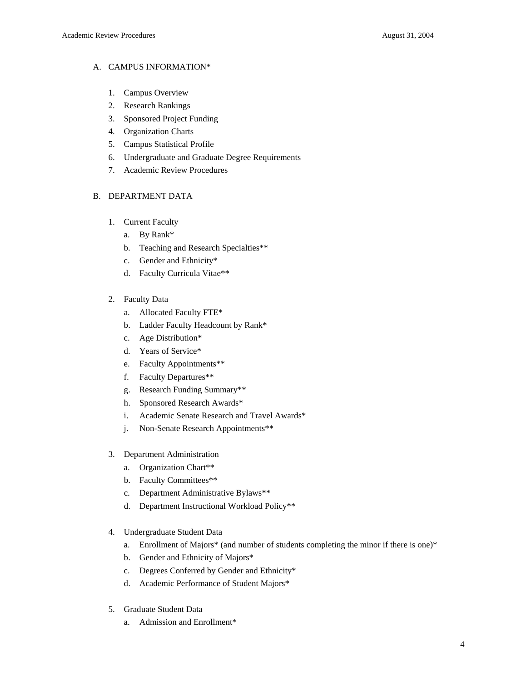## A. CAMPUS INFORMATION\*

- 1. Campus Overview
- 2. Research Rankings
- 3. Sponsored Project Funding
- 4. Organization Charts
- 5. Campus Statistical Profile
- 6. Undergraduate and Graduate Degree Requirements
- 7. Academic Review Procedures

## B. DEPARTMENT DATA

- 1. Current Faculty
	- a. By Rank\*
	- b. Teaching and Research Specialties\*\*
	- c. Gender and Ethnicity\*
	- d. Faculty Curricula Vitae\*\*
- 2. Faculty Data
	- a. Allocated Faculty FTE\*
	- b. Ladder Faculty Headcount by Rank\*
	- c. Age Distribution\*
	- d. Years of Service\*
	- e. Faculty Appointments\*\*
	- f. Faculty Departures\*\*
	- g. Research Funding Summary\*\*
	- h. Sponsored Research Awards\*
	- i. Academic Senate Research and Travel Awards\*
	- j. Non-Senate Research Appointments\*\*
- 3. Department Administration
	- a. Organization Chart\*\*
	- b. Faculty Committees\*\*
	- c. Department Administrative Bylaws\*\*
	- d. Department Instructional Workload Policy\*\*
- 4. Undergraduate Student Data
	- a. Enrollment of Majors\* (and number of students completing the minor if there is one)\*
	- b. Gender and Ethnicity of Majors\*
	- c. Degrees Conferred by Gender and Ethnicity\*
	- d. Academic Performance of Student Majors\*
- 5. Graduate Student Data
	- a. Admission and Enrollment\*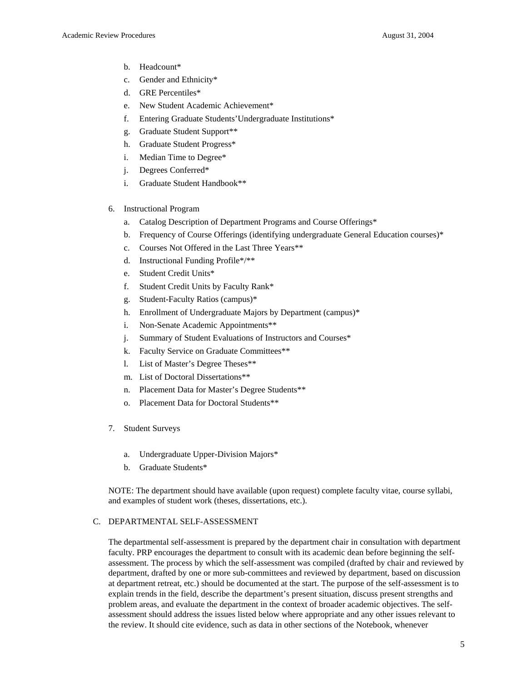- b. Headcount\*
- c. Gender and Ethnicity\*
- d. GRE Percentiles\*
- e. New Student Academic Achievement\*
- f. Entering Graduate Students'Undergraduate Institutions\*
- g. Graduate Student Support\*\*
- h. Graduate Student Progress\*
- i. Median Time to Degree\*
- j. Degrees Conferred\*
- i. Graduate Student Handbook\*\*
- 6. Instructional Program
	- a. Catalog Description of Department Programs and Course Offerings\*
	- b. Frequency of Course Offerings (identifying undergraduate General Education courses)\*
	- c. Courses Not Offered in the Last Three Years\*\*
	- d. Instructional Funding Profile\*/\*\*
	- e. Student Credit Units\*
	- f. Student Credit Units by Faculty Rank\*
	- g. Student-Faculty Ratios (campus)\*
	- h. Enrollment of Undergraduate Majors by Department (campus)\*
	- i. Non-Senate Academic Appointments\*\*
	- j. Summary of Student Evaluations of Instructors and Courses\*
	- k. Faculty Service on Graduate Committees\*\*
	- l. List of Master's Degree Theses\*\*
	- m. List of Doctoral Dissertations\*\*
	- n. Placement Data for Master's Degree Students\*\*
	- o. Placement Data for Doctoral Students\*\*
- 7. Student Surveys
	- a. Undergraduate Upper-Division Majors\*
	- b. Graduate Students\*

 NOTE: The department should have available (upon request) complete faculty vitae, course syllabi, and examples of student work (theses, dissertations, etc.).

#### C. DEPARTMENTAL SELF-ASSESSMENT

 The departmental self-assessment is prepared by the department chair in consultation with department faculty. PRP encourages the department to consult with its academic dean before beginning the selfassessment. The process by which the self-assessment was compiled (drafted by chair and reviewed by department, drafted by one or more sub-committees and reviewed by department, based on discussion at department retreat, etc.) should be documented at the start. The purpose of the self-assessment is to explain trends in the field, describe the department's present situation, discuss present strengths and problem areas, and evaluate the department in the context of broader academic objectives. The selfassessment should address the issues listed below where appropriate and any other issues relevant to the review. It should cite evidence, such as data in other sections of the Notebook, whenever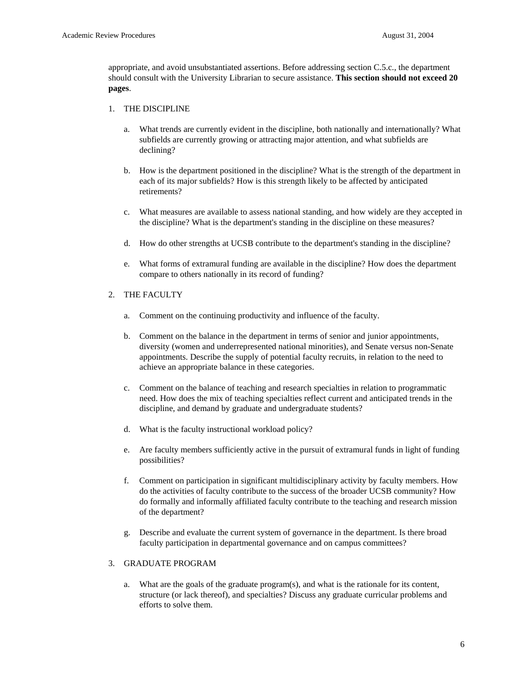appropriate, and avoid unsubstantiated assertions. Before addressing section C.5.c., the department should consult with the University Librarian to secure assistance. **This section should not exceed 20 pages**.

#### 1. THE DISCIPLINE

- a. What trends are currently evident in the discipline, both nationally and internationally? What subfields are currently growing or attracting major attention, and what subfields are declining?
- b. How is the department positioned in the discipline? What is the strength of the department in each of its major subfields? How is this strength likely to be affected by anticipated retirements?
- c. What measures are available to assess national standing, and how widely are they accepted in the discipline? What is the department's standing in the discipline on these measures?
- d. How do other strengths at UCSB contribute to the department's standing in the discipline?
- e. What forms of extramural funding are available in the discipline? How does the department compare to others nationally in its record of funding?

#### 2. THE FACULTY

- a. Comment on the continuing productivity and influence of the faculty.
- b. Comment on the balance in the department in terms of senior and junior appointments, diversity (women and underrepresented national minorities), and Senate versus non-Senate appointments. Describe the supply of potential faculty recruits, in relation to the need to achieve an appropriate balance in these categories.
- c. Comment on the balance of teaching and research specialties in relation to programmatic need. How does the mix of teaching specialties reflect current and anticipated trends in the discipline, and demand by graduate and undergraduate students?
- d. What is the faculty instructional workload policy?
- e. Are faculty members sufficiently active in the pursuit of extramural funds in light of funding possibilities?
- f. Comment on participation in significant multidisciplinary activity by faculty members. How do the activities of faculty contribute to the success of the broader UCSB community? How do formally and informally affiliated faculty contribute to the teaching and research mission of the department?
- g. Describe and evaluate the current system of governance in the department. Is there broad faculty participation in departmental governance and on campus committees?

#### 3. GRADUATE PROGRAM

 a. What are the goals of the graduate program(s), and what is the rationale for its content, structure (or lack thereof), and specialties? Discuss any graduate curricular problems and efforts to solve them.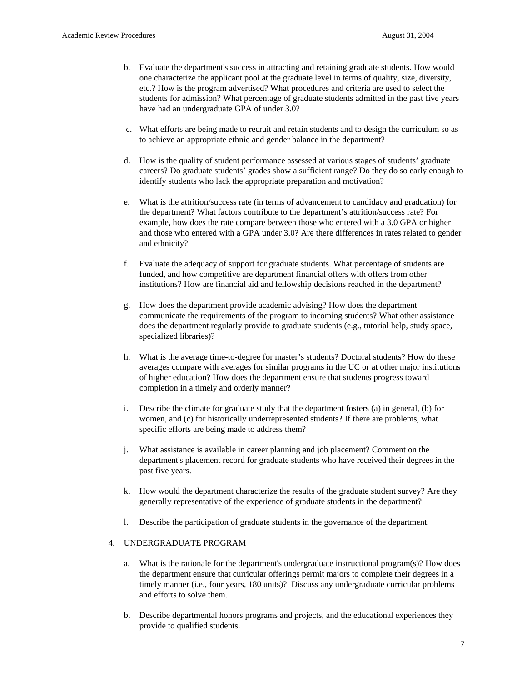- b. Evaluate the department's success in attracting and retaining graduate students. How would one characterize the applicant pool at the graduate level in terms of quality, size, diversity, etc.? How is the program advertised? What procedures and criteria are used to select the students for admission? What percentage of graduate students admitted in the past five years have had an undergraduate GPA of under 3.0?
- c. What efforts are being made to recruit and retain students and to design the curriculum so as to achieve an appropriate ethnic and gender balance in the department?
- d. How is the quality of student performance assessed at various stages of students' graduate careers? Do graduate students' grades show a sufficient range? Do they do so early enough to identify students who lack the appropriate preparation and motivation?
- e. What is the attrition/success rate (in terms of advancement to candidacy and graduation) for the department? What factors contribute to the department's attrition/success rate? For example, how does the rate compare between those who entered with a 3.0 GPA or higher and those who entered with a GPA under 3.0? Are there differences in rates related to gender and ethnicity?
- f. Evaluate the adequacy of support for graduate students. What percentage of students are funded, and how competitive are department financial offers with offers from other institutions? How are financial aid and fellowship decisions reached in the department?
- g. How does the department provide academic advising? How does the department communicate the requirements of the program to incoming students? What other assistance does the department regularly provide to graduate students (e.g., tutorial help, study space, specialized libraries)?
- h. What is the average time-to-degree for master's students? Doctoral students? How do these averages compare with averages for similar programs in the UC or at other major institutions of higher education? How does the department ensure that students progress toward completion in a timely and orderly manner?
- i. Describe the climate for graduate study that the department fosters (a) in general, (b) for women, and (c) for historically underrepresented students? If there are problems, what specific efforts are being made to address them?
- j. What assistance is available in career planning and job placement? Comment on the department's placement record for graduate students who have received their degrees in the past five years.
- k. How would the department characterize the results of the graduate student survey? Are they generally representative of the experience of graduate students in the department?
- l. Describe the participation of graduate students in the governance of the department.

#### 4. UNDERGRADUATE PROGRAM

- a. What is the rationale for the department's undergraduate instructional program(s)? How does the department ensure that curricular offerings permit majors to complete their degrees in a timely manner (i.e., four years, 180 units)? Discuss any undergraduate curricular problems and efforts to solve them.
- b. Describe departmental honors programs and projects, and the educational experiences they provide to qualified students.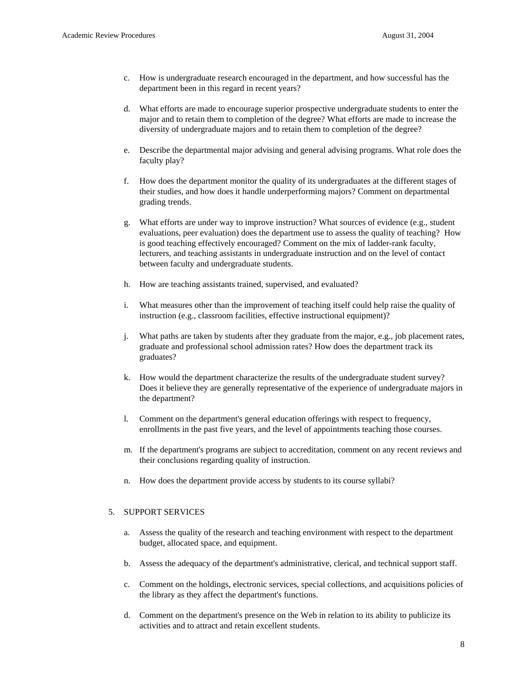- c. How is undergraduate research encouraged in the department, and how successful has the department been in this regard in recent years?
- d. What efforts are made to encourage superior prospective undergraduate students to enter the major and to retain them to completion of the degree? What efforts are made to increase the diversity of undergraduate majors and to retain them to completion of the degree?
- e. Describe the departmental major advising and general advising programs. What role does the faculty play?
- f. How does the department monitor the quality of its undergraduates at the different stages of their studies, and how does it handle underperforming majors? Comment on departmental grading trends.
- g. What efforts are under way to improve instruction? What sources of evidence (e.g., student evaluations, peer evaluation) does the department use to assess the quality of teaching? How is good teaching effectively encouraged? Comment on the mix of ladder-rank faculty, lecturers, and teaching assistants in undergraduate instruction and on the level of contact between faculty and undergraduate students.
- h. How are teaching assistants trained, supervised, and evaluated?
- i. What measures other than the improvement of teaching itself could help raise the quality of instruction (e.g., classroom facilities, effective instructional equipment)?
- j. What paths are taken by students after they graduate from the major, e.g., job placement rates, graduate and professional school admission rates? How does the department track its graduates?
- k. How would the department characterize the results of the undergraduate student survey? Does it believe they are generally representative of the experience of undergraduate majors in the department?
- l. Comment on the department's general education offerings with respect to frequency, enrollments in the past five years, and the level of appointments teaching those courses.
- m. If the department's programs are subject to accreditation, comment on any recent reviews and their conclusions regarding quality of instruction.
- n. How does the department provide access by students to its course syllabi?

#### 5. SUPPORT SERVICES

- a. Assess the quality of the research and teaching environment with respect to the department budget, allocated space, and equipment.
- b. Assess the adequacy of the department's administrative, clerical, and technical support staff.
- c. Comment on the holdings, electronic services, special collections, and acquisitions policies of the library as they affect the department's functions.
- d. Comment on the department's presence on the Web in relation to its ability to publicize its activities and to attract and retain excellent students.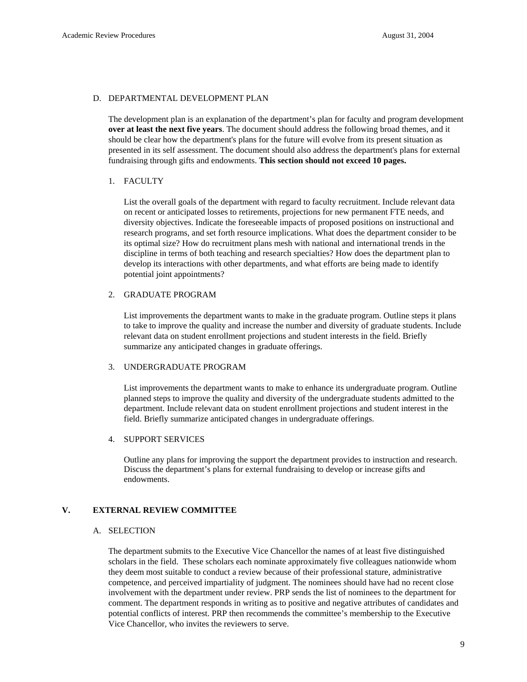#### D. DEPARTMENTAL DEVELOPMENT PLAN

The development plan is an explanation of the department's plan for faculty and program development **over at least the next five years**. The document should address the following broad themes, and it should be clear how the department's plans for the future will evolve from its present situation as presented in its self assessment. The document should also address the department's plans for external fundraising through gifts and endowments. **This section should not exceed 10 pages.** 

#### 1. FACULTY

List the overall goals of the department with regard to faculty recruitment. Include relevant data on recent or anticipated losses to retirements, projections for new permanent FTE needs, and diversity objectives. Indicate the foreseeable impacts of proposed positions on instructional and research programs, and set forth resource implications. What does the department consider to be its optimal size? How do recruitment plans mesh with national and international trends in the discipline in terms of both teaching and research specialties? How does the department plan to develop its interactions with other departments, and what efforts are being made to identify potential joint appointments?

#### 2. GRADUATE PROGRAM

 List improvements the department wants to make in the graduate program. Outline steps it plans to take to improve the quality and increase the number and diversity of graduate students. Include relevant data on student enrollment projections and student interests in the field. Briefly summarize any anticipated changes in graduate offerings.

#### 3. UNDERGRADUATE PROGRAM

 List improvements the department wants to make to enhance its undergraduate program. Outline planned steps to improve the quality and diversity of the undergraduate students admitted to the department. Include relevant data on student enrollment projections and student interest in the field. Briefly summarize anticipated changes in undergraduate offerings.

#### 4. SUPPORT SERVICES

Outline any plans for improving the support the department provides to instruction and research. Discuss the department's plans for external fundraising to develop or increase gifts and endowments.

#### **V. EXTERNAL REVIEW COMMITTEE**

#### A. SELECTION

The department submits to the Executive Vice Chancellor the names of at least five distinguished scholars in the field. These scholars each nominate approximately five colleagues nationwide whom they deem most suitable to conduct a review because of their professional stature, administrative competence, and perceived impartiality of judgment. The nominees should have had no recent close involvement with the department under review. PRP sends the list of nominees to the department for comment. The department responds in writing as to positive and negative attributes of candidates and potential conflicts of interest. PRP then recommends the committee's membership to the Executive Vice Chancellor, who invites the reviewers to serve.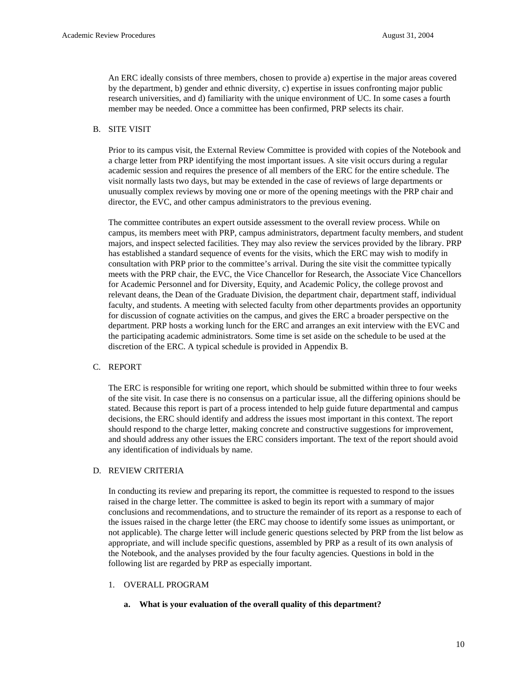An ERC ideally consists of three members, chosen to provide a) expertise in the major areas covered by the department, b) gender and ethnic diversity, c) expertise in issues confronting major public research universities, and d) familiarity with the unique environment of UC. In some cases a fourth member may be needed. Once a committee has been confirmed, PRP selects its chair.

#### B. SITE VISIT

Prior to its campus visit, the External Review Committee is provided with copies of the Notebook and a charge letter from PRP identifying the most important issues. A site visit occurs during a regular academic session and requires the presence of all members of the ERC for the entire schedule. The visit normally lasts two days, but may be extended in the case of reviews of large departments or unusually complex reviews by moving one or more of the opening meetings with the PRP chair and director, the EVC, and other campus administrators to the previous evening.

The committee contributes an expert outside assessment to the overall review process. While on campus, its members meet with PRP, campus administrators, department faculty members, and student majors, and inspect selected facilities. They may also review the services provided by the library. PRP has established a standard sequence of events for the visits, which the ERC may wish to modify in consultation with PRP prior to the committee's arrival. During the site visit the committee typically meets with the PRP chair, the EVC, the Vice Chancellor for Research, the Associate Vice Chancellors for Academic Personnel and for Diversity, Equity, and Academic Policy, the college provost and relevant deans, the Dean of the Graduate Division, the department chair, department staff, individual faculty, and students. A meeting with selected faculty from other departments provides an opportunity for discussion of cognate activities on the campus, and gives the ERC a broader perspective on the department. PRP hosts a working lunch for the ERC and arranges an exit interview with the EVC and the participating academic administrators. Some time is set aside on the schedule to be used at the discretion of the ERC. A typical schedule is provided in Appendix B.

#### C. REPORT

The ERC is responsible for writing one report, which should be submitted within three to four weeks of the site visit. In case there is no consensus on a particular issue, all the differing opinions should be stated. Because this report is part of a process intended to help guide future departmental and campus decisions, the ERC should identify and address the issues most important in this context. The report should respond to the charge letter, making concrete and constructive suggestions for improvement, and should address any other issues the ERC considers important. The text of the report should avoid any identification of individuals by name.

#### D. REVIEW CRITERIA

In conducting its review and preparing its report, the committee is requested to respond to the issues raised in the charge letter. The committee is asked to begin its report with a summary of major conclusions and recommendations, and to structure the remainder of its report as a response to each of the issues raised in the charge letter (the ERC may choose to identify some issues as unimportant, or not applicable). The charge letter will include generic questions selected by PRP from the list below as appropriate, and will include specific questions, assembled by PRP as a result of its own analysis of the Notebook, and the analyses provided by the four faculty agencies. Questions in bold in the following list are regarded by PRP as especially important.

#### 1. OVERALL PROGRAM

#### **a. What is your evaluation of the overall quality of this department?**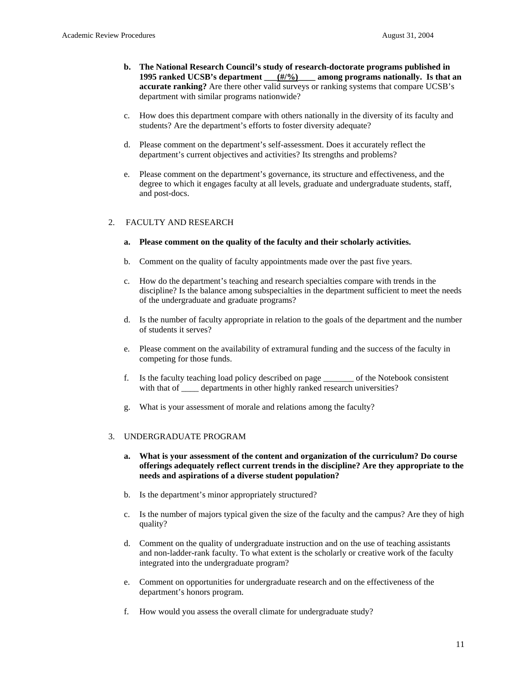- **b. The National Research Council's study of research-doctorate programs published in 1995 ranked UCSB's department**   $(\frac{\#}{\%})$  among programs nationally. Is that an **accurate ranking?** Are there other valid surveys or ranking systems that compare UCSB's department with similar programs nationwide?
- c. How does this department compare with others nationally in the diversity of its faculty and students? Are the department's efforts to foster diversity adequate?
- d. Please comment on the department's self-assessment. Does it accurately reflect the department's current objectives and activities? Its strengths and problems?
- e. Please comment on the department's governance, its structure and effectiveness, and the degree to which it engages faculty at all levels, graduate and undergraduate students, staff, and post-docs.

### 2. FACULTY AND RESEARCH

- **a. Please comment on the quality of the faculty and their scholarly activities.**
- b. Comment on the quality of faculty appointments made over the past five years.
- c. How do the department's teaching and research specialties compare with trends in the discipline? Is the balance among subspecialties in the department sufficient to meet the needs of the undergraduate and graduate programs?
- d. Is the number of faculty appropriate in relation to the goals of the department and the number of students it serves?
- e. Please comment on the availability of extramural funding and the success of the faculty in competing for those funds.
- f. Is the faculty teaching load policy described on page \_\_\_\_\_\_\_ of the Notebook consistent with that of \_\_\_\_ departments in other highly ranked research universities?
- g. What is your assessment of morale and relations among the faculty?

#### 3. UNDERGRADUATE PROGRAM

- **a. What is your assessment of the content and organization of the curriculum? Do course offerings adequately reflect current trends in the discipline? Are they appropriate to the needs and aspirations of a diverse student population?**
- b. Is the department's minor appropriately structured?
- c. Is the number of majors typical given the size of the faculty and the campus? Are they of high quality?
- d. Comment on the quality of undergraduate instruction and on the use of teaching assistants and non-ladder-rank faculty. To what extent is the scholarly or creative work of the faculty integrated into the undergraduate program?
- e. Comment on opportunities for undergraduate research and on the effectiveness of the department's honors program.
- f. How would you assess the overall climate for undergraduate study?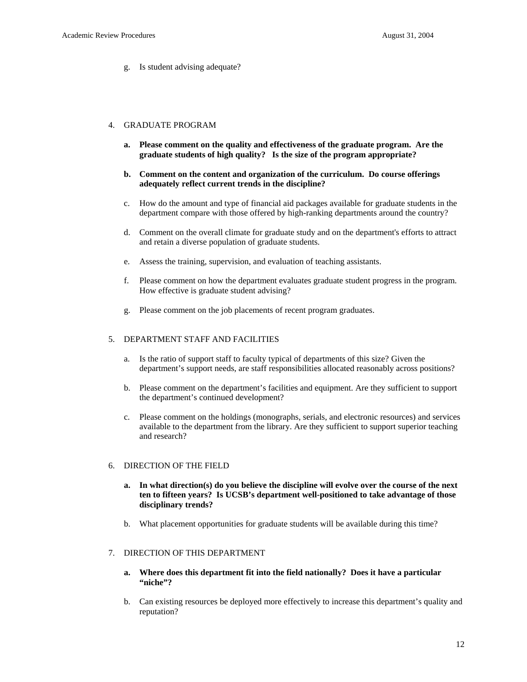g. Is student advising adequate?

#### 4. GRADUATE PROGRAM

- **a. Please comment on the quality and effectiveness of the graduate program. Are the graduate students of high quality? Is the size of the program appropriate?**
- **b. Comment on the content and organization of the curriculum. Do course offerings adequately reflect current trends in the discipline?**
- c. How do the amount and type of financial aid packages available for graduate students in the department compare with those offered by high-ranking departments around the country?
- d. Comment on the overall climate for graduate study and on the department's efforts to attract and retain a diverse population of graduate students.
- e. Assess the training, supervision, and evaluation of teaching assistants.
- f. Please comment on how the department evaluates graduate student progress in the program. How effective is graduate student advising?
- g. Please comment on the job placements of recent program graduates.

#### 5. DEPARTMENT STAFF AND FACILITIES

- a. Is the ratio of support staff to faculty typical of departments of this size? Given the department's support needs, are staff responsibilities allocated reasonably across positions?
- b. Please comment on the department's facilities and equipment. Are they sufficient to support the department's continued development?
- c. Please comment on the holdings (monographs, serials, and electronic resources) and services available to the department from the library. Are they sufficient to support superior teaching and research?

#### 6. DIRECTION OF THE FIELD

- **a. In what direction(s) do you believe the discipline will evolve over the course of the next ten to fifteen years? Is UCSB's department well-positioned to take advantage of those disciplinary trends?**
- b. What placement opportunities for graduate students will be available during this time?

#### 7. DIRECTION OF THIS DEPARTMENT

- **a. Where does this department fit into the field nationally? Does it have a particular "niche"?**
- b. Can existing resources be deployed more effectively to increase this department's quality and reputation?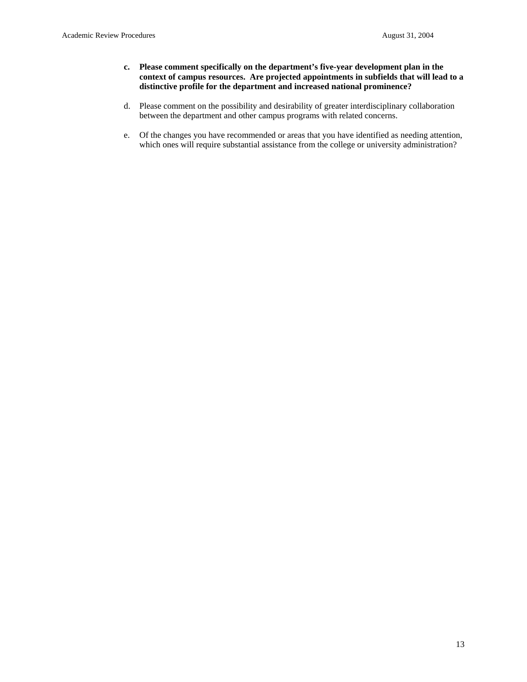- **c. Please comment specifically on the department's five-year development plan in the context of campus resources. Are projected appointments in subfields that will lead to a distinctive profile for the department and increased national prominence?**
- d. Please comment on the possibility and desirability of greater interdisciplinary collaboration between the department and other campus programs with related concerns.
- e. Of the changes you have recommended or areas that you have identified as needing attention, which ones will require substantial assistance from the college or university administration?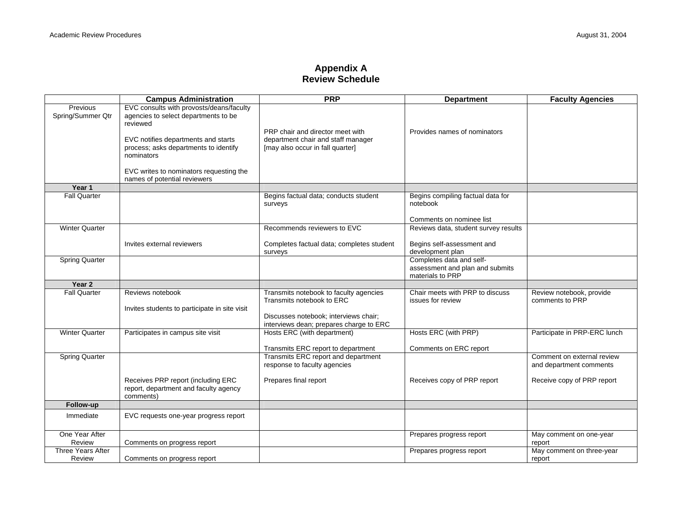## **Appendix A Review Schedule**

|                                    | <b>Campus Administration</b>                                                                                                                                                                                                                                          | <b>PRP</b>                                                                                                                                              | <b>Department</b>                                                               | <b>Faculty Agencies</b>                               |
|------------------------------------|-----------------------------------------------------------------------------------------------------------------------------------------------------------------------------------------------------------------------------------------------------------------------|---------------------------------------------------------------------------------------------------------------------------------------------------------|---------------------------------------------------------------------------------|-------------------------------------------------------|
| Previous<br>Spring/Summer Qtr      | EVC consults with provosts/deans/faculty<br>agencies to select departments to be<br>reviewed<br>EVC notifies departments and starts<br>process; asks departments to identify<br>nominators<br>EVC writes to nominators requesting the<br>names of potential reviewers | PRP chair and director meet with<br>department chair and staff manager<br>[may also occur in fall quarter]                                              | Provides names of nominators                                                    |                                                       |
| Year 1                             |                                                                                                                                                                                                                                                                       |                                                                                                                                                         |                                                                                 |                                                       |
| <b>Fall Quarter</b>                |                                                                                                                                                                                                                                                                       | Begins factual data; conducts student<br>surveys                                                                                                        | Begins compiling factual data for<br>notebook<br>Comments on nominee list       |                                                       |
| <b>Winter Quarter</b>              |                                                                                                                                                                                                                                                                       | Recommends reviewers to EVC                                                                                                                             | Reviews data, student survey results                                            |                                                       |
|                                    | Invites external reviewers                                                                                                                                                                                                                                            | Completes factual data; completes student<br>surveys                                                                                                    | Begins self-assessment and<br>development plan                                  |                                                       |
| <b>Spring Quarter</b>              |                                                                                                                                                                                                                                                                       |                                                                                                                                                         | Completes data and self-<br>assessment and plan and submits<br>materials to PRP |                                                       |
| Year 2                             |                                                                                                                                                                                                                                                                       |                                                                                                                                                         |                                                                                 |                                                       |
| <b>Fall Quarter</b>                | Reviews notebook<br>Invites students to participate in site visit                                                                                                                                                                                                     | Transmits notebook to faculty agencies<br>Transmits notebook to ERC<br>Discusses notebook: interviews chair:<br>interviews dean; prepares charge to ERC | Chair meets with PRP to discuss<br>issues for review                            | Review notebook, provide<br>comments to PRP           |
| <b>Winter Quarter</b>              | Participates in campus site visit                                                                                                                                                                                                                                     | Hosts ERC (with department)<br>Transmits ERC report to department                                                                                       | Hosts ERC (with PRP)<br>Comments on ERC report                                  | Participate in PRP-ERC lunch                          |
| <b>Spring Quarter</b>              |                                                                                                                                                                                                                                                                       | Transmits ERC report and department<br>response to faculty agencies                                                                                     |                                                                                 | Comment on external review<br>and department comments |
|                                    | Receives PRP report (including ERC<br>report, department and faculty agency<br>comments)                                                                                                                                                                              | Prepares final report                                                                                                                                   | Receives copy of PRP report                                                     | Receive copy of PRP report                            |
| Follow-up                          |                                                                                                                                                                                                                                                                       |                                                                                                                                                         |                                                                                 |                                                       |
| Immediate                          | EVC requests one-year progress report                                                                                                                                                                                                                                 |                                                                                                                                                         |                                                                                 |                                                       |
| One Year After<br>Review           | Comments on progress report                                                                                                                                                                                                                                           |                                                                                                                                                         | Prepares progress report                                                        | May comment on one-year<br>report                     |
| <b>Three Years After</b><br>Review | Comments on progress report                                                                                                                                                                                                                                           |                                                                                                                                                         | Prepares progress report                                                        | May comment on three-year<br>report                   |